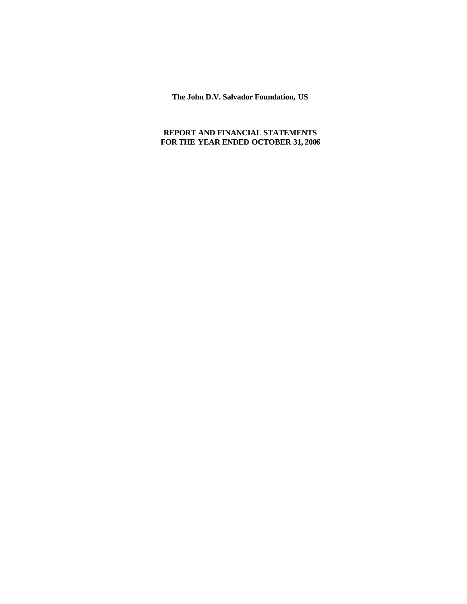**The John D.V. Salvador Foundation, US**

# **REPORT AND FINANCIAL STATEMENTS FOR THE YEAR ENDED OCTOBER 31, 2006**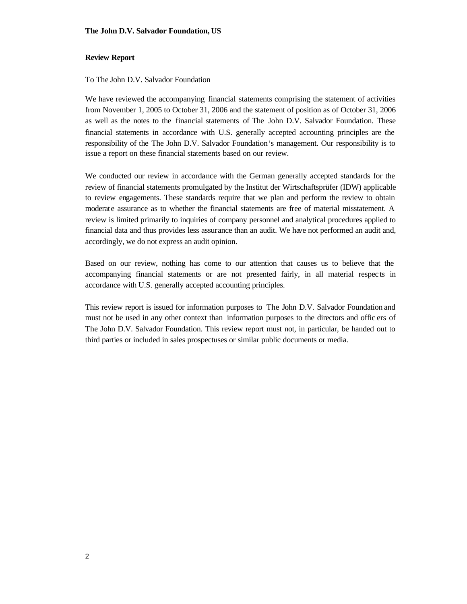### **Review Report**

### To The John D.V. Salvador Foundation

We have reviewed the accompanying financial statements comprising the statement of activities from November 1, 2005 to October 31, 2006 and the statement of position as of October 31, 2006 as well as the notes to the financial statements of The John D.V. Salvador Foundation. These financial statements in accordance with U.S. generally accepted accounting principles are the responsibility of the The John D.V. Salvador Foundation's management. Our responsibility is to issue a report on these financial statements based on our review.

We conducted our review in accordance with the German generally accepted standards for the review of financial statements promulgated by the Institut der Wirtschaftsprüfer (IDW) applicable to review engagements. These standards require that we plan and perform the review to obtain moderate assurance as to whether the financial statements are free of material misstatement. A review is limited primarily to inquiries of company personnel and analytical procedures applied to financial data and thus provides less assurance than an audit. We have not performed an audit and, accordingly, we do not express an audit opinion.

Based on our review, nothing has come to our attention that causes us to believe that the accompanying financial statements or are not presented fairly, in all material respec ts in accordance with U.S. generally accepted accounting principles.

This review report is issued for information purposes to The John D.V. Salvador Foundation and must not be used in any other context than information purposes to the directors and offic ers of The John D.V. Salvador Foundation. This review report must not, in particular, be handed out to third parties or included in sales prospectuses or similar public documents or media.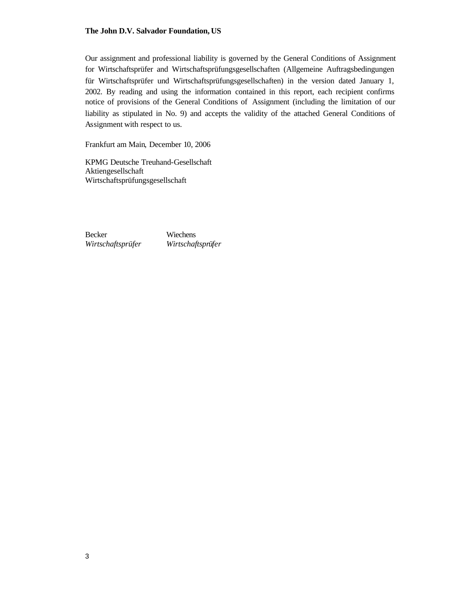#### **The John D.V. Salvador Foundation, US**

Our assignment and professional liability is governed by the General Conditions of Assignment for Wirtschaftsprüfer and Wirtschaftsprüfungsgesellschaften (Allgemeine Auftragsbedingungen für Wirtschaftsprüfer und Wirtschaftsprüfungsgesellschaften) in the version dated January 1, 2002. By reading and using the information contained in this report, each recipient confirms notice of provisions of the General Conditions of Assignment (including the limitation of our liability as stipulated in No. 9) and accepts the validity of the attached General Conditions of Assignment with respect to us.

Frankfurt am Main, December 10, 2006

KPMG Deutsche Treuhand-Gesellschaft Aktiengesellschaft Wirtschaftsprüfungsgesellschaft

Becker *Wirtschaftsprüfer*

Wiechens *Wirtschaftsprüfer*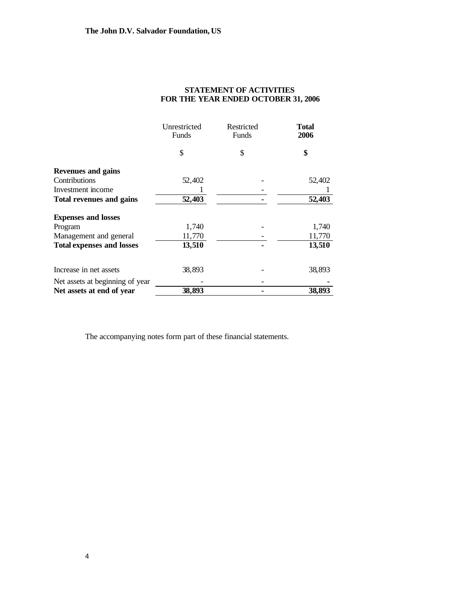|                                  | Unrestricted<br>Funds | Restricted<br>Funds | Total<br>2006 |
|----------------------------------|-----------------------|---------------------|---------------|
|                                  | \$                    | \$                  | \$            |
| <b>Revenues and gains</b>        |                       |                     |               |
| Contributions                    | 52,402                |                     | 52,402        |
| Investment income                |                       |                     |               |
| <b>Total revenues and gains</b>  | 52,403                |                     | 52,403        |
| <b>Expenses and losses</b>       |                       |                     |               |
| Program                          | 1,740                 |                     | 1,740         |
| Management and general           | 11,770                |                     | 11,770        |
| <b>Total expenses and losses</b> | 13,510                |                     | 13,510        |
| Increase in net assets           | 38,893                |                     | 38,893        |
| Net assets at beginning of year  |                       |                     |               |
| Net assets at end of year        | 38,893                |                     | 38,893        |

## **STATEMENT OF ACTIVITIES FOR THE YEAR ENDED OCTOBER 31, 2006**

The accompanying notes form part of these financial statements.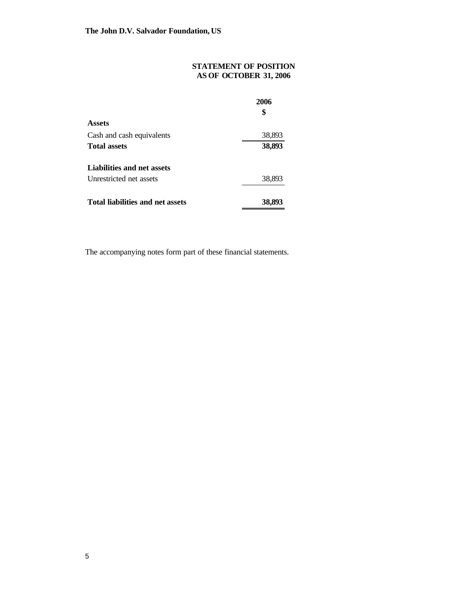# **STATEMENT OF POSITION AS OF OCTOBER 31, 2006**

|                                  | 2006<br>\$ |
|----------------------------------|------------|
| Assets                           |            |
| Cash and cash equivalents        | 38,893     |
| <b>Total assets</b>              | 38,893     |
| Liabilities and net assets       |            |
| Unrestricted net assets          | 38,893     |
| Total liabilities and net assets | 38,893     |

The accompanying notes form part of these financial statements.